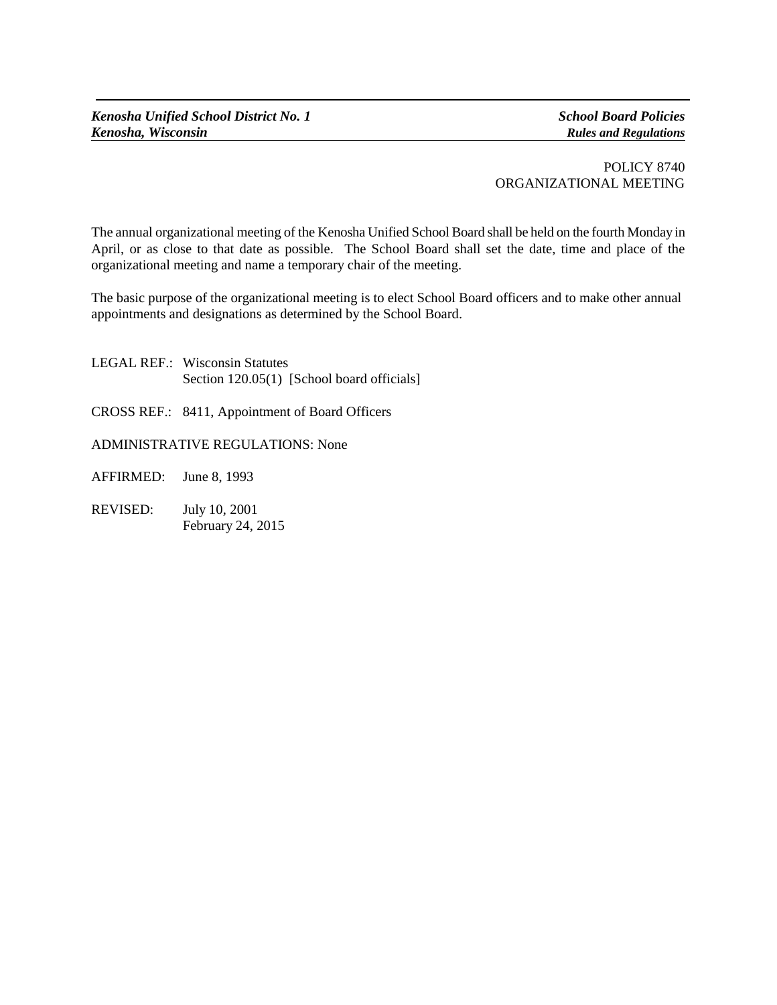## POLICY 8740 ORGANIZATIONAL MEETING

The annual organizational meeting of the Kenosha Unified School Board shall be held on the fourth Monday in April, or as close to that date as possible. The School Board shall set the date, time and place of the organizational meeting and name a temporary chair of the meeting.

The basic purpose of the organizational meeting is to elect School Board officers and to make other annual appointments and designations as determined by the School Board.

- LEGAL REF.: Wisconsin Statutes Section 120.05(1) [School board officials]
- CROSS REF.: 8411, Appointment of Board Officers
- ADMINISTRATIVE REGULATIONS: None
- AFFIRMED: June 8, 1993
- REVISED: July 10, 2001 February 24, 2015